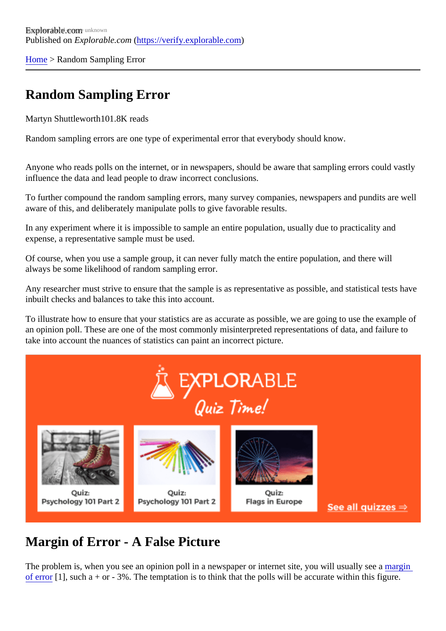[Home](https://verify.explorable.com/)> Random Sampling Error

# Random Sampling Error

Martyn Shuttleworth01.8K reads

Random sampling errors are one type of experimental error that everybody should know.

Anyone who reads polls on the internet, or in newspapers, should be aware that sampling errors could vastles influence the data and lead people to draw incorrect conclusions.

To further compound the random sampling errors, many survey companies, newspapers and pundits are w aware of this, and deliberately manipulate polls to give favorable results.

In any experiment where it is impossible to sample an entire population, usually due to practicality and expense, a representative sample must be used.

Of course, when you use a sample group, it can never fully match the entire population, and there will always be some likelihood of random sampling error.

Any researcher must strive to ensure that the sample is as representative as possible, and statistical tests inbuilt checks and balances to take this into account.

To illustrate how to ensure that your statistics are as accurate as possible, we are going to use the examp an opinion poll. These are one of the most commonly misinterpreted representations of data, and failure to take into account the nuances of statistics can paint an incorrect picture.

# Margin of Error - A False Picture

The problem is, when you see an opinion poll in a newspaper or internet site, you will usually agent [of error](https://verify.explorable.com/statistics-margin-of-error)[1], such a + or - 3%. The temptation is to think that the polls will be accurate within this figure.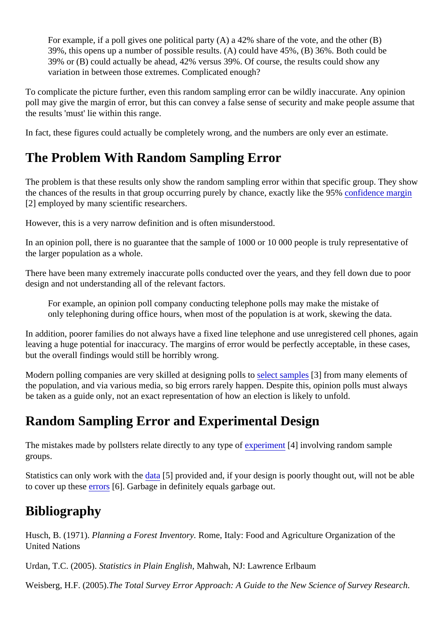For example, if a poll gives one political party (A) a 42% share of the vote, and the other (B) 39%, this opens up a number of possible results. (A) could have 45%, (B) 36%. Both could be 39% or (B) could actually be ahead, 42% versus 39%. Of course, the results could show any variation in between those extremes. Complicated enough?

To complicate the picture further, even this random sampling error can be wildly inaccurate. Any opinion poll may give the margin of error, but this can convey a false sense of security and make people assume to the results 'must' lie within this range.

In fact, these figures could actually be completely wrong, and the numbers are only ever an estimate.

# The Problem With Random Sampling Error

The problem is that these results only show the random sampling error within that specific group. They show the chances of the results in that group occurring purely by chance, exactly like the **95%** ce margin [2] employed by many scientific researchers.

However, this is a very narrow definition and is often misunderstood.

In an opinion poll, there is no guarantee that the sample of 1000 or 10 000 people is truly representative of the larger population as a whole.

There have been many extremely inaccurate polls conducted over the years, and they fell down due to po design and not understanding all of the relevant factors.

For example, an opinion poll company conducting telephone polls may make the mistake of only telephoning during office hours, when most of the population is at work, skewing the data.

In addition, poorer families do not always have a fixed line telephone and use unregistered cell phones, again leaving a huge potential for inaccuracy. The margins of error would be perfectly acceptable, in these case but the overall findings would still be horribly wrong.

Modern polling companies are very skilled at designing pollseliect sample<sup>s</sup>] from many elements of the population, and via various media, so big errors rarely happen. Despite this, opinion polls must always be taken as a guide only, not an exact representation of how an election is likely to unfold.

### Random Sampling Error and Experimental Design

The mistakes made by pollsters relate directly to any type poterment<sup>[4]</sup> involving random sample groups.

Statistics can only work with the ata [5] provided and, if your design is poorly thought out, will not be able to cover up the[serrors](https://verify.explorable.com/type-I-error)<sup>[6]</sup>. Garbage in definitely equals garbage out.

### **Bibliography**

Husch, B. (1971)Planning a Forest Inventor Rome, Italy: Food and Agriculture Organization of the United Nations

Urdan, T.C. (2005)Statistics in Plain EnglishMahwah, NJ: Lawrence Erlbaum

Weisberg, H.F. (2005) The Total Survey Error Approach: A Guide to the New Science of Survey Research